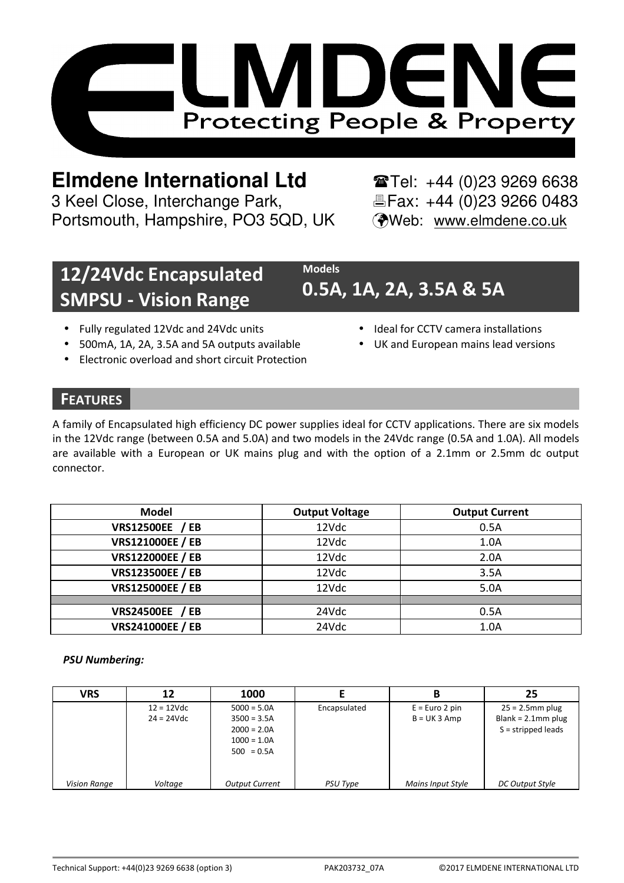

# **Elmdene International Ltd** Tel: +44 (0)23 9269 6638

3 Keel Close, Interchange Park, Electric Fax: +44 (0)23 9266 0483 Portsmouth, Hampshire, PO3 5QD, UK (Web: www.elmdene.co.uk

## **12/24Vdc Encapsulated SMPSU - Vision Range**

## **0.5A, 1A, 2A, 3.5A & 5A**

- Fully regulated 12Vdc and 24Vdc units
- 500mA, 1A, 2A, 3.5A and 5A outputs available
- Electronic overload and short circuit Protection
- Ideal for CCTV camera installations
- UK and European mains lead versions

### **FEATURES**

A family of Encapsulated high efficiency DC power supplies ideal for CCTV applications. There are six models in the 12Vdc range (between 0.5A and 5.0A) and two models in the 24Vdc range (0.5A and 1.0A). All models are available with a European or UK mains plug and with the option of a 2.1mm or 2.5mm dc output connector.

**Models**

| Model                   | <b>Output Voltage</b> | <b>Output Current</b> |
|-------------------------|-----------------------|-----------------------|
| <b>VRS12500EE / EB</b>  | 12Vdc                 | 0.5A                  |
| <b>VRS121000EE / EB</b> | 12Vdc                 | 1.0A                  |
| <b>VRS122000EE / EB</b> | 12Vdc                 | 2.0A                  |
| <b>VRS123500EE / EB</b> | 12Vdc                 | 3.5A                  |
| <b>VRS125000EE / EB</b> | 12Vdc                 | 5.0A                  |
|                         |                       |                       |
| <b>VRS24500EE / EB</b>  | 24Vdc                 | 0.5A                  |
| <b>VRS241000EE / EB</b> | 24Vdc                 | 1.0A                  |

### *PSU Numbering:*

| VRS                 | 12                           | 1000                                                                             |                 |                                   | 25                                                                  |
|---------------------|------------------------------|----------------------------------------------------------------------------------|-----------------|-----------------------------------|---------------------------------------------------------------------|
|                     | $12 = 12Vdc$<br>$24 = 24Vdc$ | $5000 = 5.0A$<br>$3500 = 3.5A$<br>$2000 = 2.0A$<br>$1000 = 1.0A$<br>$500 = 0.5A$ | Encapsulated    | $E = Euro 2 pin$<br>$B = UK3$ Amp | $25 = 2.5$ mm plug<br>Blank = $2.1$ mm plug<br>$S =$ stripped leads |
| <b>Vision Range</b> | Voltage                      | <b>Output Current</b>                                                            | <b>PSU Type</b> | Mains Input Style                 | DC Output Style                                                     |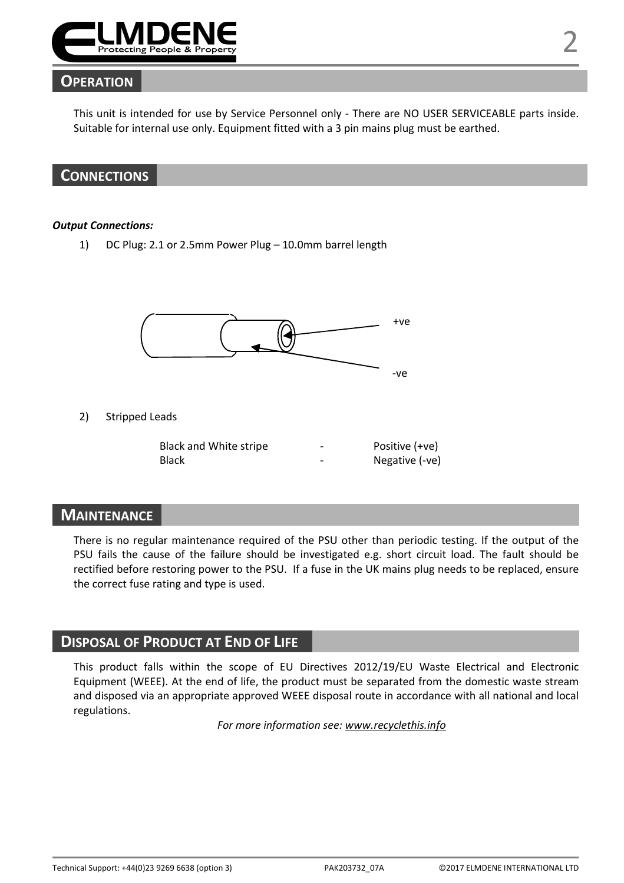

### **OPERATION**

This unit is intended for use by Service Personnel only - There are NO USER SERVICEABLE parts inside. Suitable for internal use only. Equipment fitted with a 3 pin mains plug must be earthed.



#### *Output Connections:*

1) DC Plug: 2.1 or 2.5mm Power Plug – 10.0mm barrel length



2) Stripped Leads

| Black and White stripe | - | Positive (+ve) |
|------------------------|---|----------------|
| Black                  | - | Negative (-ve) |

### **MAINTENANCE**

There is no regular maintenance required of the PSU other than periodic testing. If the output of the PSU fails the cause of the failure should be investigated e.g. short circuit load. The fault should be rectified before restoring power to the PSU. If a fuse in the UK mains plug needs to be replaced, ensure the correct fuse rating and type is used.

### **DISPOSAL OF PRODUCT AT END OF LIFE**

This product falls within the scope of EU Directives 2012/19/EU Waste Electrical and Electronic Equipment (WEEE). At the end of life, the product must be separated from the domestic waste stream and disposed via an appropriate approved WEEE disposal route in accordance with all national and local regulations.

*For more information see: www.recyclethis.info*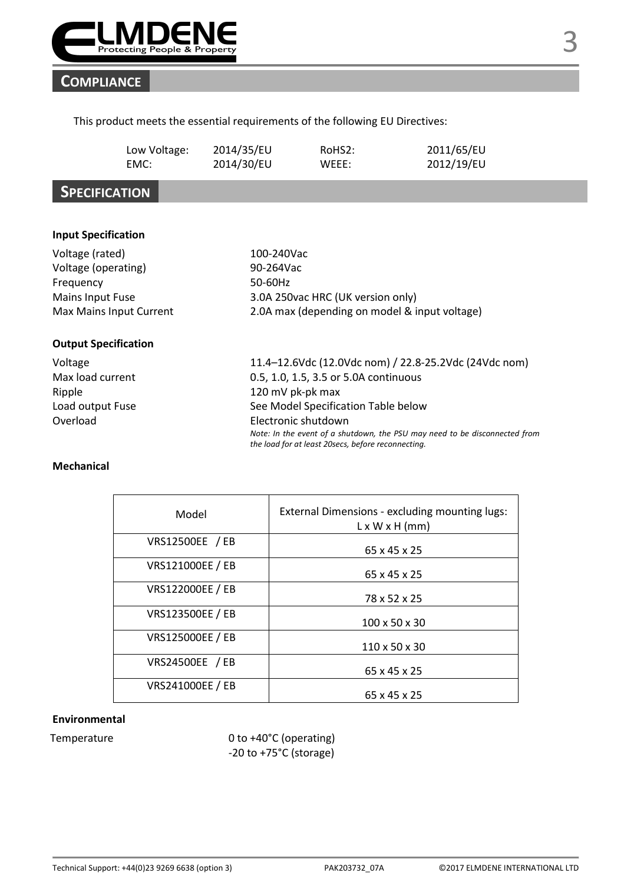

### **COMPLIANCE**

### This product meets the essential requirements of the following EU Directives:

| Low Voltage: | 2014/35/EU | RoHS <sub>2</sub> : | 2011/65/EU |
|--------------|------------|---------------------|------------|
| EMC:         | 2014/30/EU | WEEE:               | 2012/19/EU |

### **SPECIFICATION**

#### **Input Specification**

| Voltage (rated)             | 100-240Vac                                            |
|-----------------------------|-------------------------------------------------------|
| Voltage (operating)         | 90-264Vac                                             |
| Frequency                   | 50-60Hz                                               |
| Mains Input Fuse            | 3.0A 250vac HRC (UK version only)                     |
| Max Mains Input Current     | 2.0A max (depending on model & input voltage)         |
| <b>Output Specification</b> |                                                       |
| Voltage                     | 11.4-12.6Vdc (12.0Vdc nom) / 22.8-25.2Vdc (24Vdc nom) |
| Max load current            | 0.5, 1.0, 1.5, 3.5 or 5.0A continuous                 |
| Ripple                      | 120 mV pk-pk max                                      |
| Load output Fuse            | See Model Specification Table below                   |
| Overload                    | Electronic shutdown                                   |

### *Note: In the event of a shutdown, the PSU may need to be disconnected from the load for at least 20secs, before reconnecting.*

#### **Mechanical**

| Model                   | External Dimensions - excluding mounting lugs:<br>$L \times W \times H$ (mm) |
|-------------------------|------------------------------------------------------------------------------|
| VRS12500EE / EB         | 65 x 45 x 25                                                                 |
| <b>VRS121000EE / EB</b> | 65 x 45 x 25                                                                 |
| <b>VRS122000EE / EB</b> | 78 x 52 x 25                                                                 |
| VRS123500EE / EB        | 100 x 50 x 30                                                                |
| VRS125000EE / EB        | 110 x 50 x 30                                                                |
| VRS24500EE / EB         | 65 x 45 x 25                                                                 |
| VRS241000EE / EB        | 65 x 45 x 25                                                                 |

#### **Environmental**

Temperature 0 to +40°C (operating) -20 to +75°C (storage)